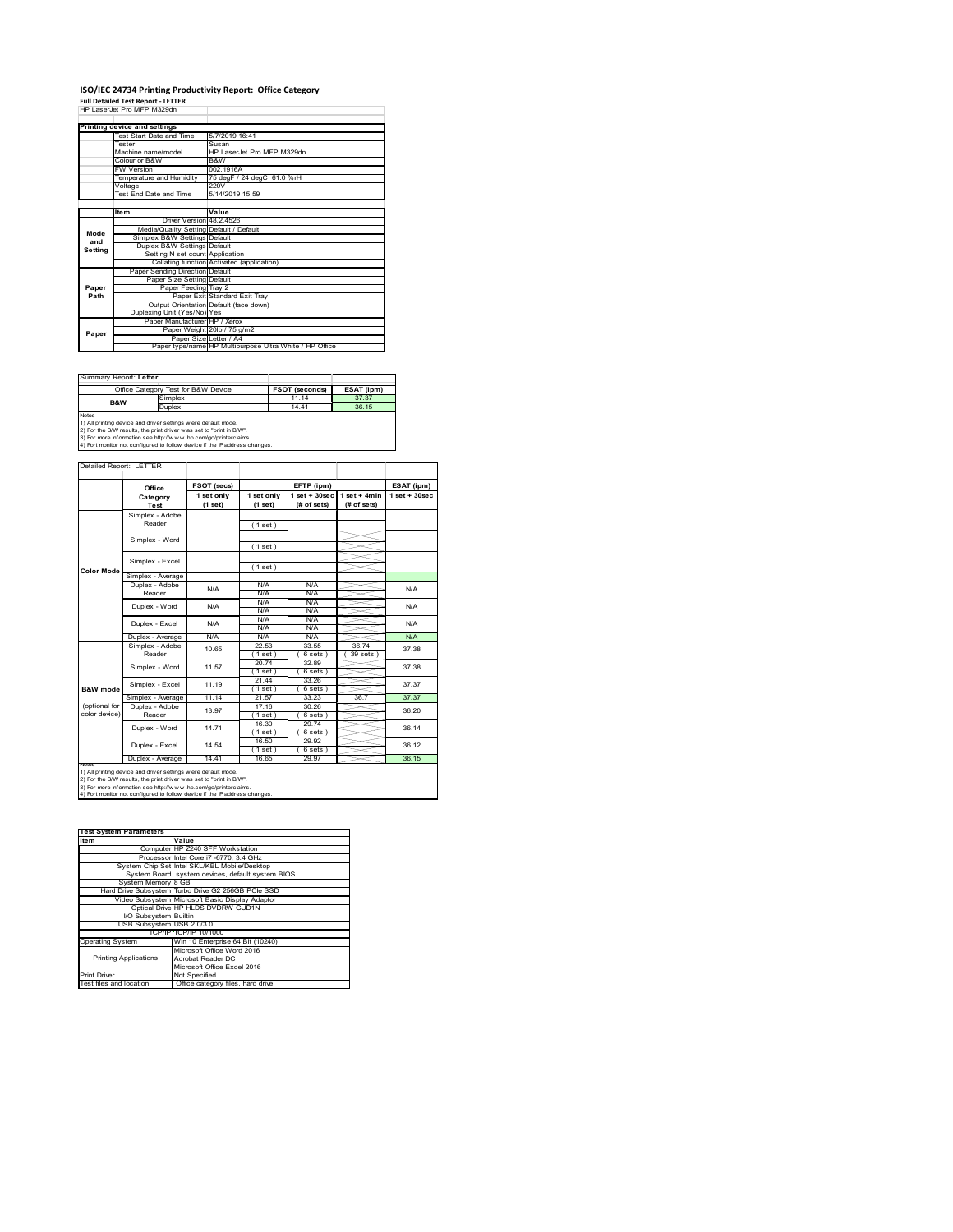### **ISO/IEC 24734 Printing Productivity Report: Office Category Full Detailed Test Report ‐ LETTER** HP LaserJet Pro MFP M329dn

|         | FIF LASCIJCI FIU MFF MJZSUII            |                                                         |
|---------|-----------------------------------------|---------------------------------------------------------|
|         |                                         |                                                         |
|         | Printing device and settings            |                                                         |
|         | Test Start Date and Time                | 5/7/2019 16:41                                          |
|         | Tester                                  | Susan                                                   |
|         | Machine name/model                      | HP LaserJet Pro MFP M329dn                              |
|         | Colour or B&W                           | B&W                                                     |
|         | <b>FW Version</b>                       | 002.1916A                                               |
|         | Temperature and Humidity                | 75 degF / 24 degC 61.0 %rH                              |
|         | Voltage                                 | 220V                                                    |
|         | <b>Test End Date and Time</b>           | 5/14/2019 15:59                                         |
|         |                                         |                                                         |
|         | <b>Item</b>                             | Value                                                   |
|         | Driver Version 48.2.4526                |                                                         |
| Mode    | Media/Quality Setting Default / Default |                                                         |
| and     | Simplex B&W Settings Default            |                                                         |
| Setting | Duplex B&W Settings Default             |                                                         |
|         | Setting N set count Application         |                                                         |
|         |                                         | Collating function Activated (application)              |
|         | Paper Sending Direction Default         |                                                         |
|         | Paper Size Setting Default              |                                                         |
| Paper   | Paper Feeding Tray 2                    |                                                         |
| Path    |                                         | Paper Exit Standard Exit Trav                           |
|         |                                         | Output Orientation Default (face down)                  |
|         | Duplexing Unit (Yes/No) Yes             |                                                         |
|         | Paper Manufacturer HP / Xerox           |                                                         |
| Paper   |                                         | Paper Weight 20lb / 75 g/m2                             |
|         |                                         | Paper Size Letter / A4                                  |
|         |                                         | Paper type/name HP Multipurpose Ultra White / HP Office |

| Summary Report: Letter                                                                                                                                                                                                                                                                                |                                     |                       |            |  |
|-------------------------------------------------------------------------------------------------------------------------------------------------------------------------------------------------------------------------------------------------------------------------------------------------------|-------------------------------------|-----------------------|------------|--|
|                                                                                                                                                                                                                                                                                                       | Office Category Test for B&W Device | <b>FSOT (seconds)</b> | ESAT (ipm) |  |
| <b>B&amp;W</b>                                                                                                                                                                                                                                                                                        | Simplex                             | 11 14                 | 37.37      |  |
|                                                                                                                                                                                                                                                                                                       | Duplex                              | 14 41                 | 36 15      |  |
| <b>Notes</b><br>1) All printing device and driver settings were default mode.<br>2) For the B/W results, the print driver was set to "print in B/W".<br>3) For more information see http://www.hp.com/go/printerclaims.<br>4) Port monitor not configured to follow device if the IP address changes. |                                     |                       |            |  |
|                                                                                                                                                                                                                                                                                                       |                                     |                       |            |  |

tailed Report: LETTER **FSOT (secs) ESAT (ipm) EFTP (ipm) Office 1 set + 30sec 1 set only (1 set) 1 set only (1 set) 1 set + 30sec (# of sets) 1 set + 4min (# of sets) Category Test** Simplex - Adobe Reader ( 1 set ) Simplex - Word ( 1 set ) Simplex - Excel ( 1 set ) **Color Mode** Simplex - Average Duplex - Adobe N/A  $N/f$ N/A Reader N/A N/A N/A N/A Duplex - Word N/A N/A N/A N/A N/A N/A Duplex - Excel N/A N/A N/A N/.<br>N/A N/. Puplex - Average N/A N/A N/A N/A N/A N/A N/A N/A<br>
Simplex - Adobe 10.65 22.53 33.55 36.74 37.3<br>
Reader 10.65 (1.5et) (6.5ets) 39.9ets) 37.3 10.65 37.38 22.53 33.55 36.74  $( 6 \text{ sets } )$   $( 39 \text{ sets } )$ <br> $32.89$ Simplex - Word 11.57 20.74 32.89 37.38 ( 1 set ) ( 6 sets ) 21.44 33.26 ( 1 set ) ( 6 sets ) Simplex - Excel 11.19 37.37 **B&W** mod Simplex - Average 11.14 21.57 33.23 36.7 37.37<br>
Duplex - Adobe 13.97 17.16 30.26 36.20<br>
Reader 13.97 1.16t) (6 sets) 36.20 (optional for color device) 13.97 17.16 30.26 36.20 30.26 1 set ) ( 6 sets )<br>16.30 29.74 29.74 Duplex - Word 14.71 36.14  $(1 set)$ <br> $(1 6.50)$ <br> $(1 1 6.65)$  $( 6 \text{ sets } )$ <br> $29.92$ ₹ 14.54 36.12 Duplex - Excel  $(6s$ Duplex - Average | 14.41 | 16.65 | 29.97 | 36.15 notes<br>1) All printing device and driver settings were default mode.<br>2) For the B/W results, the print driver was set to "print in B/W".<br>3) For more information see http://www.hp.com/go/printerclaims.<br>4) Por moralitor not c

| <b>Test System Parameters</b> |                                                    |  |  |
|-------------------------------|----------------------------------------------------|--|--|
| Item                          | Value                                              |  |  |
|                               | Computer HP Z240 SFF Workstation                   |  |  |
|                               | Processor Intel Core i7 -6770, 3.4 GHz             |  |  |
|                               | System Chip Set Intel SKL/KBL Mobile/Desktop       |  |  |
|                               | System Board system devices, default system BIOS   |  |  |
| System Memory 8 GB            |                                                    |  |  |
|                               | Hard Drive Subsystem Turbo Drive G2 256GB PCle SSD |  |  |
|                               | Video Subsystem Microsoft Basic Display Adaptor    |  |  |
|                               | Optical Drive HP HLDS DVDRW GUD1N                  |  |  |
| I/O Subsystem Builtin         |                                                    |  |  |
| USB Subsystem USB 2.0/3.0     |                                                    |  |  |
|                               | TCP/IP TCP/IP 10/1000                              |  |  |
| <b>Operating System</b>       | Win 10 Enterprise 64 Bit (10240)                   |  |  |
|                               | Microsoft Office Word 2016                         |  |  |
| <b>Printing Applications</b>  | Acrobat Reader DC                                  |  |  |
|                               | Microsoft Office Excel 2016                        |  |  |
| <b>Print Driver</b>           | Not Specified                                      |  |  |
| Test files and location       | Office category files, hard drive                  |  |  |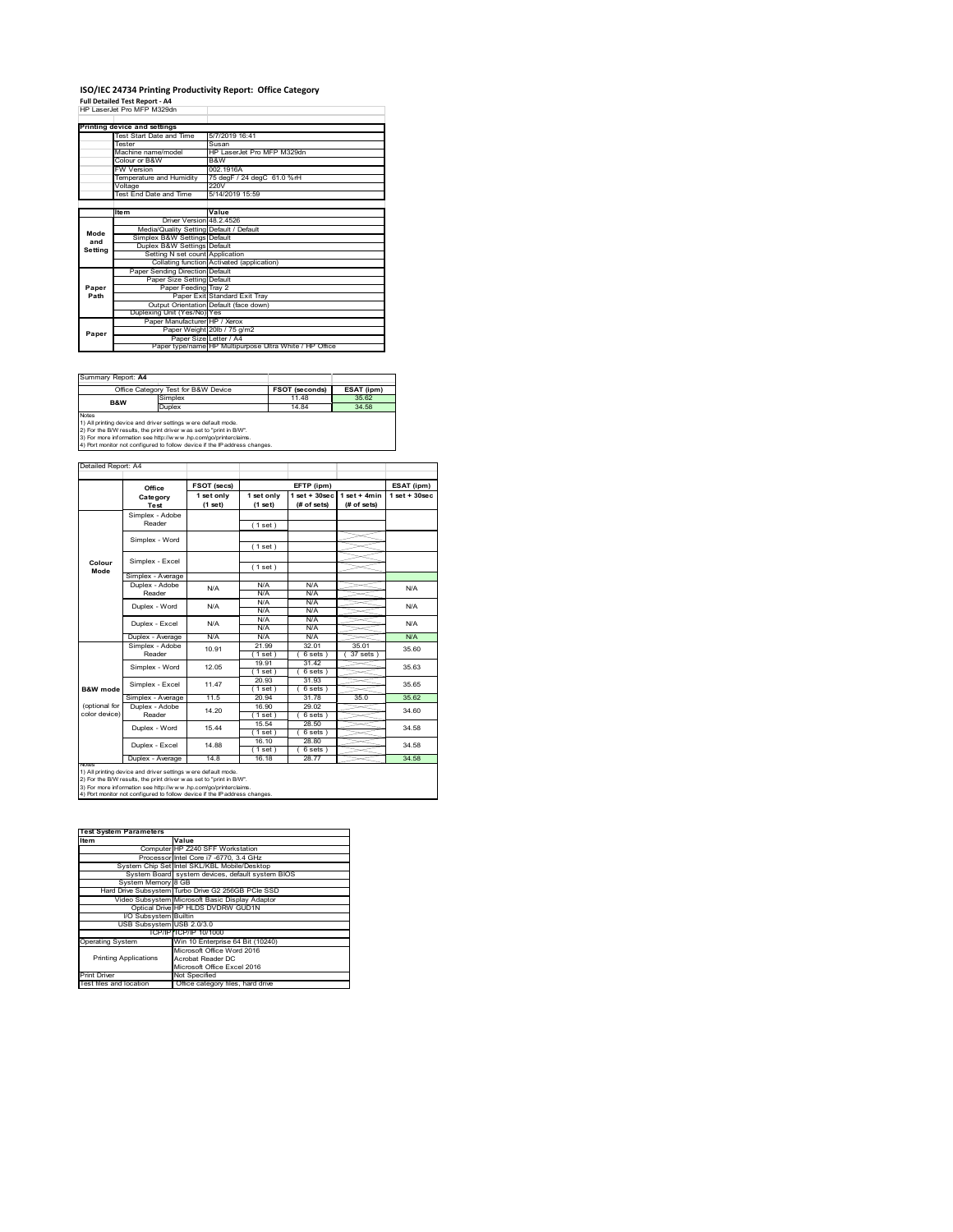### **ISO/IEC 24734 Printing Productivity Report: Office Category Full Detailed Test Report ‐ A4** HP LaserJet Pro MFP M329dn

|         | FIF LASCIJCI FIU MFF MJZSUII            |                                                         |
|---------|-----------------------------------------|---------------------------------------------------------|
|         |                                         |                                                         |
|         | Printing device and settings            |                                                         |
|         | Test Start Date and Time                | 5/7/2019 16:41                                          |
|         | <b>Tester</b>                           | Susan                                                   |
|         | Machine name/model                      | HP LaserJet Pro MFP M329dn                              |
|         | Colour or B&W                           | B&W                                                     |
|         | <b>FW Version</b>                       | 002.1916A                                               |
|         | Temperature and Humidity                | 75 degF / 24 degC 61.0 %rH                              |
|         | Voltage                                 | 220V                                                    |
|         | Test End Date and Time                  | 5/14/2019 15:59                                         |
|         |                                         |                                                         |
|         | <b>Item</b>                             | Value                                                   |
|         | Driver Version 48.2.4526                |                                                         |
| Mode    | Media/Quality Setting Default / Default |                                                         |
| and     | Simplex B&W Settings Default            |                                                         |
|         | Duplex B&W Settings Default             |                                                         |
| Setting | Setting N set count Application         |                                                         |
|         |                                         | Collating function Activated (application)              |
|         | Paper Sending Direction Default         |                                                         |
|         | Paper Size Setting Default              |                                                         |
| Paper   | Paper Feeding Tray 2                    |                                                         |
| Path    |                                         | Paper Exit Standard Exit Tray                           |
|         |                                         | Output Orientation Default (face down)                  |
|         | Duplexing Unit (Yes/No) Yes             |                                                         |
|         | Paper Manufacturer HP / Xerox           |                                                         |
| Paper   |                                         | Paper Weight 20lb / 75 g/m2                             |
|         |                                         | Paper Size Letter / A4                                  |
|         |                                         | Paper type/name HP Multipurpose Ultra White / HP Office |

| ESAT (ipm)                                                                                                                                                                                                                                                                                            |  |  |  |  |
|-------------------------------------------------------------------------------------------------------------------------------------------------------------------------------------------------------------------------------------------------------------------------------------------------------|--|--|--|--|
| 35.62                                                                                                                                                                                                                                                                                                 |  |  |  |  |
| 34.58                                                                                                                                                                                                                                                                                                 |  |  |  |  |
| <b>Notes</b><br>1) All printing device and driver settings were default mode.<br>2) For the B/W results, the print driver was set to "print in B/W".<br>3) For more information see http://www.hp.com/go/printerclaims.<br>4) Port monitor not configured to follow device if the IP address changes. |  |  |  |  |
|                                                                                                                                                                                                                                                                                                       |  |  |  |  |

**FSOT (secs) ESAT (ipm) EFTP (ipm) Office 1 set only (1 set) 1 set only (1 set) 1 set + 30sec (# of sets) 1 set + 4min (# of sets) 1 set + 30sec** ( 1 set ) ( 1 set ) ( 1 set ) Simplex - Average Duplex - Adobe  $N/f$ N/A N/A N/A N/A N/A N/A N/A N/A  $N/A$   $N/A$   $N$ Puplex - Average N/A N/A N/A N/A N/A N/A<br>
Simplex - Adobe 10.91 21.99 32.01 35.01 95.61<br>
Reader 10.91 (1 set) (6 sets) (37 sets) 21.99 32.01 35.01  $( 6 \text{ sets } )$   $( 37 \text{ sets } )$ <br> $31.42$ 19.91 31.42 ( 1 set ) ( 6 sets )<br>20.93 31.93 ( 1 set ) ( 6 sets )<br>20.94 31.78 Simplex - Average 11.5 20.94 31.78 35.0 35.62<br>
Duplex - Adobe 14.20 16.90 29.02 34.60<br>
Reader 14.20 1.5et 6.961 5.95 16.90 29.02<br>(1 set) (6 set) 1 set ) ( 6 sets )<br>15.54 28.50 28.50  $( 6 \text{ sets } )$ <br> $28.80$  $(1 \text{ set})$ <br> $(1 \text{ set})$ <br> $(1 \text{ set})$ <br> $16.18$  $( 6 \text{ set} 28.7)$ Duplex - Average | 14.8 | 16.18 | 28.77 | 34.58 14.88 Duplex - Word Duplex - Excel 34.58 34.58 15.44 14.20 N/A 35.60 35.63 35.65 34.60 N/A Simplex - Word 12.05 Duplex - Excel 10.91 notes<br>1) All printing device and driver settings were default mode.<br>2) For the B/W results, the print driver was set to "print in B/W".<br>3) For more information see http://www.hp.com/go/printerclaims.<br>4) Por moralitor not c **B&W** mod (optional for color device) **Colour Mode** Simplex - Adobe Reader Simplex - Excel Simplex - Word Simplex - Excel 11.47 Reader Duplex - Word ailed Report: A4 **Category Test** N/A  $N/A$   $N/A$   $N/A$   $N/A$   $N/A$ N/A

| <b>Test System Parameters</b> |                                                    |  |  |
|-------------------------------|----------------------------------------------------|--|--|
| Item                          | Value                                              |  |  |
|                               | Computer HP Z240 SFF Workstation                   |  |  |
|                               | Processor Intel Core i7 -6770, 3.4 GHz             |  |  |
|                               | System Chip Set Intel SKL/KBL Mobile/Desktop       |  |  |
|                               | System Board system devices, default system BIOS   |  |  |
| System Memory 8 GB            |                                                    |  |  |
|                               | Hard Drive Subsystem Turbo Drive G2 256GB PCle SSD |  |  |
|                               | Video Subsystem Microsoft Basic Display Adaptor    |  |  |
|                               | Optical Drive HP HLDS DVDRW GUD1N                  |  |  |
| I/O Subsystem Builtin         |                                                    |  |  |
| USB Subsystem USB 2.0/3.0     |                                                    |  |  |
|                               | TCP/IP TCP/IP 10/1000                              |  |  |
| <b>Operating System</b>       | Win 10 Enterprise 64 Bit (10240)                   |  |  |
|                               | Microsoft Office Word 2016                         |  |  |
| <b>Printing Applications</b>  | Acrobat Reader DC                                  |  |  |
|                               | Microsoft Office Excel 2016                        |  |  |
| <b>Print Driver</b>           | Not Specified                                      |  |  |
| Test files and location       | Office category files, hard drive                  |  |  |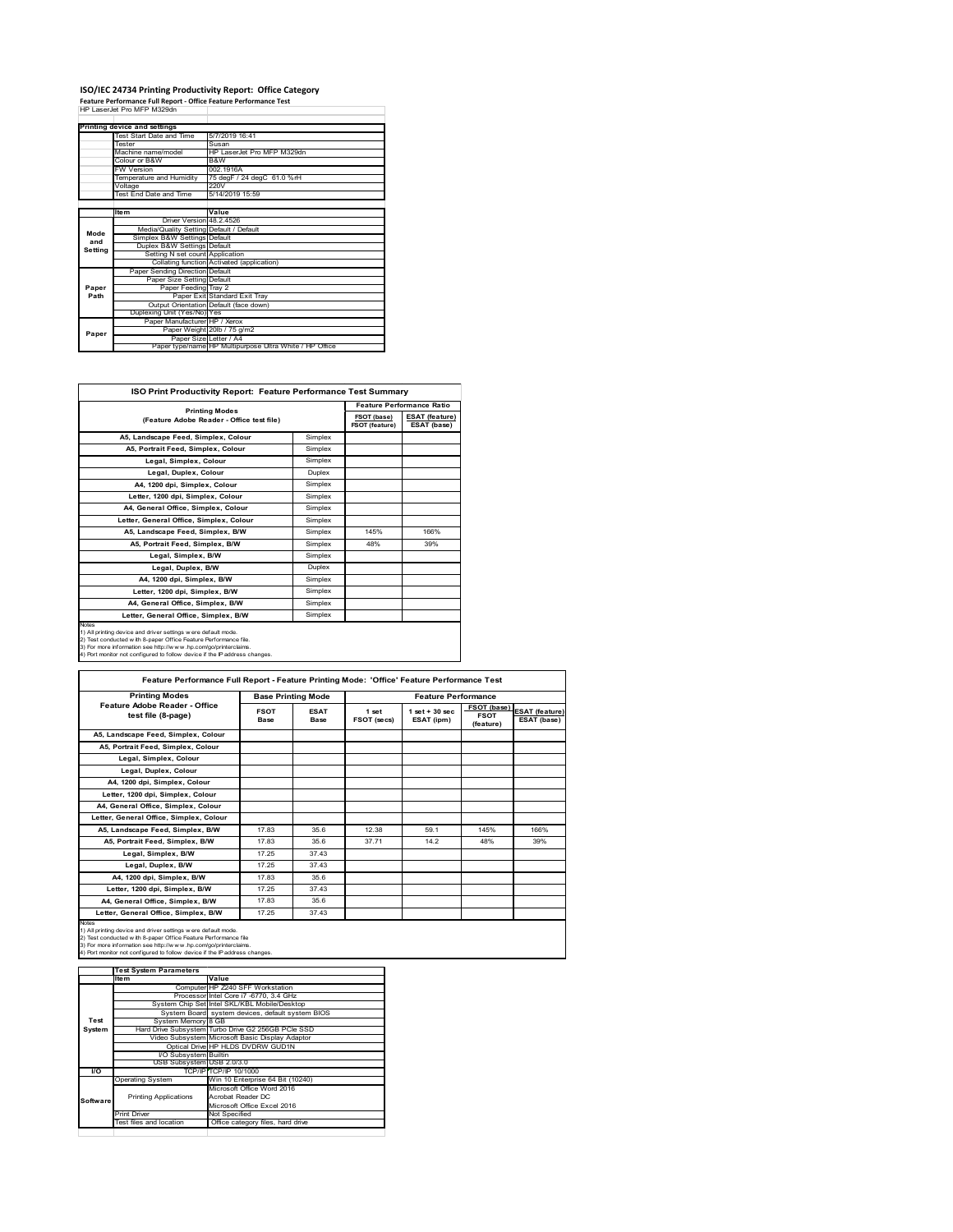# **ISO/IEC 24734 Printing Productivity Report: Office Category Feature Performance Full Report ‐ Office Feature Performance Test** HP LaserJet Pro MFP M329dn

|                                    | Printing device and settings            |                                                         |
|------------------------------------|-----------------------------------------|---------------------------------------------------------|
| Test Start Date and Time<br>Tester |                                         | 5/7/2019 16:41                                          |
|                                    |                                         | Susan                                                   |
|                                    | Machine name/model                      | HP LaserJet Pro MFP M329dn                              |
|                                    | Colour or B&W                           | B&W                                                     |
|                                    | <b>FW Version</b>                       | 002 1916A                                               |
|                                    | Temperature and Humidity                | 75 degF / 24 degC 61.0 %rH                              |
|                                    | Voltage                                 | 220V                                                    |
|                                    | Test End Date and Time                  | 5/14/2019 15:59                                         |
|                                    |                                         |                                                         |
|                                    | <b>Item</b>                             | Value                                                   |
|                                    | Driver Version 48 2 4526                |                                                         |
| Mode                               | Media/Quality Setting Default / Default |                                                         |
| and                                | Simplex B&W Settings Default            |                                                         |
| Setting                            | Duplex B&W Settings Default             |                                                         |
|                                    | Setting N set count Application         |                                                         |
|                                    |                                         | Collating function Activated (application)              |
|                                    | Paper Sending Direction Default         |                                                         |
|                                    | Paper Size Setting Default              |                                                         |
| Paper                              | Paper Feeding Tray 2                    |                                                         |
| Path                               |                                         | Paper Exit Standard Exit Tray                           |
|                                    |                                         | Output Orientation Default (face down)                  |
|                                    | Duplexing Unit (Yes/No) Yes             |                                                         |
|                                    | Paper Manufacturer HP / Xerox           |                                                         |
| Paper                              |                                         | Paper Weight 20lb / 75 g/m2                             |
|                                    |                                         | Paper Size Letter / A4                                  |
|                                    |                                         | Paper type/name HP Multipurpose Ultra White / HP Office |

| ISO Print Productivity Report: Feature Performance Test Summary                                                                                                                                                                                                                            |         |                                  |                                      |  |
|--------------------------------------------------------------------------------------------------------------------------------------------------------------------------------------------------------------------------------------------------------------------------------------------|---------|----------------------------------|--------------------------------------|--|
| <b>Printing Modes</b>                                                                                                                                                                                                                                                                      |         | <b>Feature Performance Ratio</b> |                                      |  |
| (Feature Adobe Reader - Office test file)                                                                                                                                                                                                                                                  |         | FSOT (base)<br>FSOT (feature)    | <b>ESAT (feature)</b><br>ESAT (base) |  |
| A5, Landscape Feed, Simplex, Colour                                                                                                                                                                                                                                                        | Simplex |                                  |                                      |  |
| A5, Portrait Feed, Simplex, Colour                                                                                                                                                                                                                                                         | Simplex |                                  |                                      |  |
| Legal, Simplex, Colour                                                                                                                                                                                                                                                                     | Simplex |                                  |                                      |  |
| Legal, Duplex, Colour                                                                                                                                                                                                                                                                      | Duplex  |                                  |                                      |  |
| A4. 1200 dpi. Simplex. Colour                                                                                                                                                                                                                                                              | Simplex |                                  |                                      |  |
| Letter, 1200 dpi, Simplex, Colour                                                                                                                                                                                                                                                          | Simplex |                                  |                                      |  |
| A4. General Office. Simplex. Colour                                                                                                                                                                                                                                                        | Simplex |                                  |                                      |  |
| Letter, General Office, Simplex, Colour                                                                                                                                                                                                                                                    | Simplex |                                  |                                      |  |
| A5, Landscape Feed, Simplex, B/W                                                                                                                                                                                                                                                           | Simplex | 145%                             | 166%                                 |  |
| A5. Portrait Feed. Simplex. B/W                                                                                                                                                                                                                                                            | Simplex | 48%                              | 39%                                  |  |
| Legal, Simplex, B/W                                                                                                                                                                                                                                                                        | Simplex |                                  |                                      |  |
| Legal, Duplex, B/W                                                                                                                                                                                                                                                                         | Duplex  |                                  |                                      |  |
| A4. 1200 dpi. Simplex. B/W                                                                                                                                                                                                                                                                 | Simplex |                                  |                                      |  |
| Letter, 1200 dpi, Simplex, B/W                                                                                                                                                                                                                                                             | Simplex |                                  |                                      |  |
| A4. General Office. Simplex. B/W                                                                                                                                                                                                                                                           | Simplex |                                  |                                      |  |
| Letter, General Office, Simplex, B/W                                                                                                                                                                                                                                                       | Simplex |                                  |                                      |  |
| Notes<br>1) All printing device and driver settings were default mode.<br>2) Test conducted with 8-paper Office Feature Performance file.<br>3) For more information see http://www.hp.com/go/printerclaims.<br>4) Port monitor not configured to follow device if the IP address changes. |         |                                  |                                      |  |

| <b>Printing Modes</b>                               |                     | <b>Base Printing Mode</b> |                      | <b>Feature Performance</b>      |                                         |                                      |
|-----------------------------------------------------|---------------------|---------------------------|----------------------|---------------------------------|-----------------------------------------|--------------------------------------|
| Feature Adobe Reader - Office<br>test file (8-page) | <b>FSOT</b><br>Base | <b>ESAT</b><br>Base       | 1 set<br>FSOT (secs) | $1$ set $+30$ sec<br>ESAT (ipm) | FSOT (base)<br><b>FSOT</b><br>(feature) | <b>ESAT</b> (feature)<br>ESAT (base) |
| A5, Landscape Feed, Simplex, Colour                 |                     |                           |                      |                                 |                                         |                                      |
| A5, Portrait Feed, Simplex, Colour                  |                     |                           |                      |                                 |                                         |                                      |
| Legal, Simplex, Colour                              |                     |                           |                      |                                 |                                         |                                      |
| Legal, Duplex, Colour                               |                     |                           |                      |                                 |                                         |                                      |
| A4, 1200 dpi, Simplex, Colour                       |                     |                           |                      |                                 |                                         |                                      |
| Letter, 1200 dpi, Simplex, Colour                   |                     |                           |                      |                                 |                                         |                                      |
| A4, General Office, Simplex, Colour                 |                     |                           |                      |                                 |                                         |                                      |
| Letter, General Office, Simplex, Colour             |                     |                           |                      |                                 |                                         |                                      |
| A5, Landscape Feed, Simplex, B/W                    | 17.83               | 35.6                      | 12.38                | 59.1                            | 145%                                    | 166%                                 |
| A5, Portrait Feed, Simplex, B/W                     | 1783                | 356                       | 37 71                | 14.2                            | 48%                                     | 39%                                  |
| Legal, Simplex, B/W                                 | 17.25               | 37.43                     |                      |                                 |                                         |                                      |
| Legal, Duplex, B/W                                  | 17.25               | 37.43                     |                      |                                 |                                         |                                      |
| A4, 1200 dpi, Simplex, B/W                          | 1783                | 356                       |                      |                                 |                                         |                                      |
| Letter, 1200 dpi, Simplex, B/W                      | 17.25               | 37.43                     |                      |                                 |                                         |                                      |
| A4, General Office, Simplex, B/W                    | 17.83               | 35.6                      |                      |                                 |                                         |                                      |
| Letter, General Office, Simplex, B/W                | 17.25               | 37.43                     |                      |                                 |                                         |                                      |

1) All printing device and driver settings were default mode.<br>2) Test conducted with 8-paper Office Feature Performance file<br>3) For more information see http://www.hp.com/go/printerclaims.<br>4) Port monitor not configured to

|           | <b>Test System Parameters</b> |                                                    |
|-----------|-------------------------------|----------------------------------------------------|
|           | <b>Item</b>                   | Value                                              |
|           |                               | Computer HP Z240 SFF Workstation                   |
|           |                               | Processor Intel Core i7 -6770, 3.4 GHz             |
|           |                               | System Chip Set Intel SKL/KBL Mobile/Desktop       |
|           |                               | System Board system devices, default system BIOS   |
| Test      | System Memory 8 GB            |                                                    |
| System    |                               | Hard Drive Subsystem Turbo Drive G2 256GB PCle SSD |
|           |                               | Video Subsystem Microsoft Basic Display Adaptor    |
|           |                               | Optical Drive HP HLDS DVDRW GUD1N                  |
|           | I/O Subsystem Builtin         |                                                    |
|           | USB Subsystem USB 2.0/3.0     |                                                    |
| <b>VO</b> |                               | TCP/IPITCP/IP 10/1000                              |
|           | <b>Operating System</b>       | Win 10 Enterprise 64 Bit (10240)                   |
|           |                               | Microsoft Office Word 2016                         |
| Software  | <b>Printing Applications</b>  | Acrobat Reader DC                                  |
|           |                               | Microsoft Office Excel 2016                        |
|           | Print Driver                  | Not Specified                                      |
|           | Test files and location       | Office category files, hard drive                  |
|           |                               |                                                    |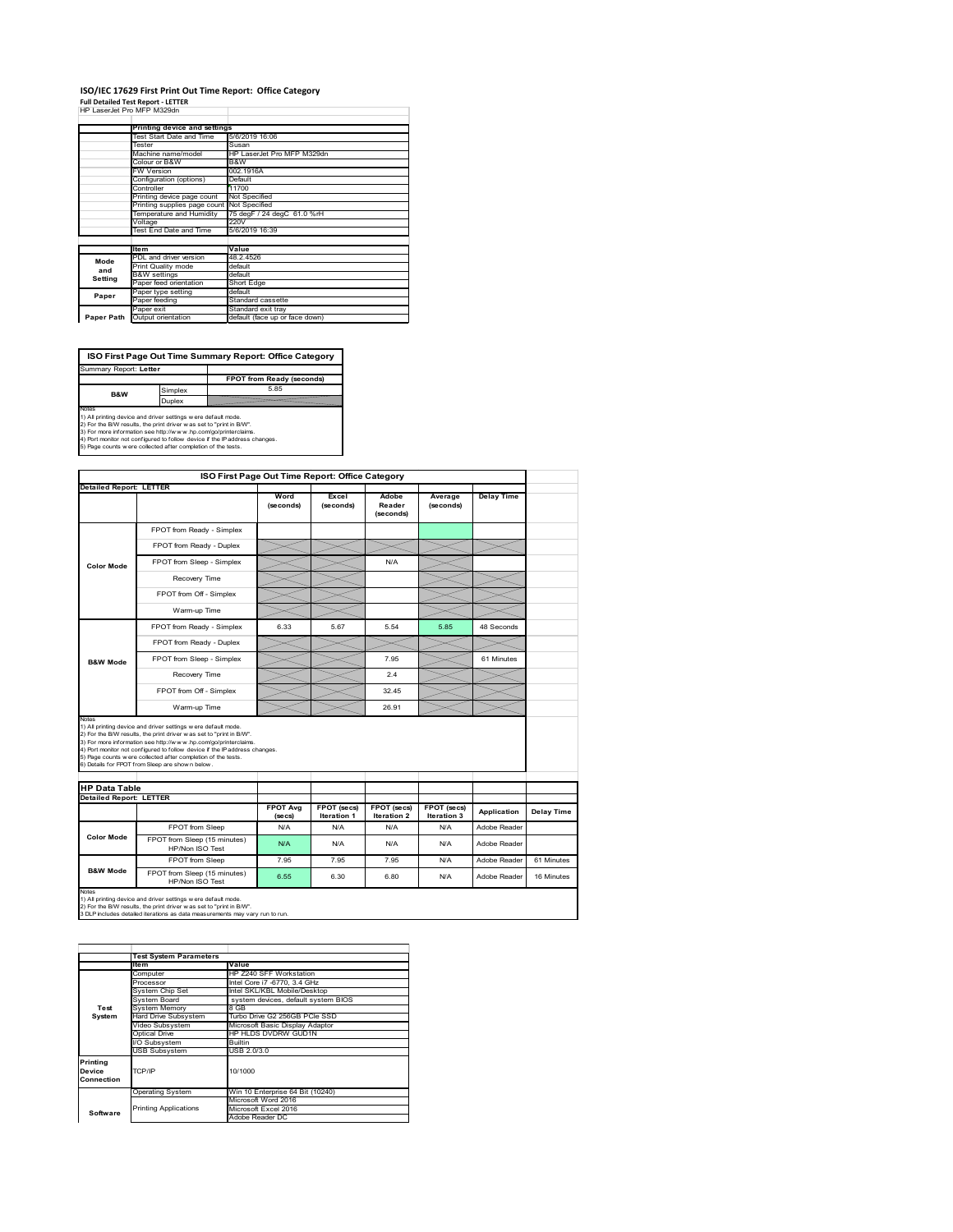#### **ISO/IEC 17629 First Print Out Time Report: Office Category Full Detailed Test Report ‐ LETTER** T

|  | HP LaserJet Pro MFP M329dn |  |
|--|----------------------------|--|
|  |                            |  |

|                                     | Printing device and settings               |                                |
|-------------------------------------|--------------------------------------------|--------------------------------|
| Test Start Date and Time<br>Tester  |                                            | 5/6/2019 16:06                 |
|                                     |                                            | Susan                          |
|                                     | Machine name/model                         | HP LaserJet Pro MFP M329dn     |
|                                     | Colour or B&W                              | B&W                            |
|                                     | <b>FW Version</b>                          | 002.1916A                      |
|                                     | Configuration (options)                    | Default                        |
|                                     | Controller                                 | 11700                          |
|                                     | Printing device page count                 | Not Specified                  |
|                                     | Printing supplies page count Not Specified |                                |
| Temperature and Humidity<br>Voltage |                                            | 75 degF / 24 degC 61.0 %rH     |
|                                     |                                            | 220V                           |
|                                     | Test End Date and Time                     | 5/6/2019 16:39                 |
|                                     |                                            |                                |
|                                     | <b>Item</b>                                | Value                          |
| Mode                                | PDL and driver version                     | 48.2.4526                      |
| and                                 | Print Quality mode                         | default                        |
| Setting                             | <b>B&amp;W</b> settings                    | default                        |
|                                     | Paper feed orientation                     | Short Edge                     |
| Paper                               | Paper type setting                         | default                        |
|                                     | Paper feeding                              | Standard cassette              |
|                                     | Paper exit                                 | Standard exit tray             |
| Paper Path                          | Output orientation                         | default (face up or face down) |

٦

**ISO First Page Out Time Summary Report: Office Category** Summary Report: **Letter**

**FPOT from Ready (seconds)**<br>
Simplex 5.85 **Duplex**<br>Notes<br>1) All printing device and driver settings were default mode.<br>2) For the BM results, the print driver was set to "print in BM".<br>4) For more information see http://www.hp.com/golprinterclaims.<br>4) Port monitor **B&W**

|                                                                 |                                                                                                                                                                                                                                                                                                                                                                                                             |                            | ISO First Page Out Time Report: Office Category |                              |                            |                   |            |
|-----------------------------------------------------------------|-------------------------------------------------------------------------------------------------------------------------------------------------------------------------------------------------------------------------------------------------------------------------------------------------------------------------------------------------------------------------------------------------------------|----------------------------|-------------------------------------------------|------------------------------|----------------------------|-------------------|------------|
| <b>Detailed Report: LETTER</b>                                  |                                                                                                                                                                                                                                                                                                                                                                                                             | Word<br>(seconds)          | Excel<br>(seconds)                              | Adobe<br>Reader<br>(seconds) | Average<br>(seconds)       | <b>Delay Time</b> |            |
|                                                                 | FPOT from Ready - Simplex                                                                                                                                                                                                                                                                                                                                                                                   |                            |                                                 |                              |                            |                   |            |
|                                                                 | FPOT from Ready - Duplex                                                                                                                                                                                                                                                                                                                                                                                    |                            |                                                 |                              |                            |                   |            |
| <b>Color Mode</b>                                               | FPOT from Sleep - Simplex                                                                                                                                                                                                                                                                                                                                                                                   |                            |                                                 | N/A                          |                            |                   |            |
|                                                                 | Recovery Time                                                                                                                                                                                                                                                                                                                                                                                               |                            |                                                 |                              |                            |                   |            |
|                                                                 | FPOT from Off - Simplex                                                                                                                                                                                                                                                                                                                                                                                     |                            |                                                 |                              |                            |                   |            |
|                                                                 | Warm-up Time                                                                                                                                                                                                                                                                                                                                                                                                |                            |                                                 |                              |                            |                   |            |
|                                                                 | FPOT from Ready - Simplex                                                                                                                                                                                                                                                                                                                                                                                   | 6.33                       | 5.67                                            | 5.54                         | 5.85                       | 48 Seconds        |            |
|                                                                 | FPOT from Ready - Duplex                                                                                                                                                                                                                                                                                                                                                                                    |                            |                                                 |                              |                            |                   |            |
| <b>B&amp;W Mode</b>                                             | FPOT from Sleep - Simplex                                                                                                                                                                                                                                                                                                                                                                                   |                            |                                                 | 7.95                         |                            | 61 Minutes        |            |
|                                                                 | Recovery Time                                                                                                                                                                                                                                                                                                                                                                                               |                            |                                                 | 24                           |                            |                   |            |
|                                                                 |                                                                                                                                                                                                                                                                                                                                                                                                             |                            |                                                 |                              |                            |                   |            |
|                                                                 | FPOT from Off - Simplex                                                                                                                                                                                                                                                                                                                                                                                     |                            |                                                 | 32 45                        |                            |                   |            |
|                                                                 | Warm-up Time                                                                                                                                                                                                                                                                                                                                                                                                |                            |                                                 | 26.91                        |                            |                   |            |
|                                                                 | 1) All printing device and driver settings w ere default mode.<br>2) For the B/W results, the print driver was set to "print in B/W".<br>3) For more information see http://www.hp.com/go/printerclaims.<br>4) Port monitor not configured to follow device if the IP address changes.<br>5) Page counts w ere collected after completion of the tests.<br>6) Details for FPOT from Sleep are show n below. |                            |                                                 |                              |                            |                   |            |
|                                                                 |                                                                                                                                                                                                                                                                                                                                                                                                             |                            |                                                 |                              |                            |                   |            |
| Notes<br><b>HP Data Table</b><br><b>Detailed Report: LETTER</b> |                                                                                                                                                                                                                                                                                                                                                                                                             | <b>FPOT Ava</b><br>(se cs) | FPOT (secs)<br>Iteration 1                      | FPOT (secs)<br>Iteration 2   | FPOT (secs)<br>Iteration 3 | Application       |            |
|                                                                 | FPOT from Sleep                                                                                                                                                                                                                                                                                                                                                                                             | N/A                        | N/A                                             | N/A                          | N/A                        | Adobe Reader      | Delay Time |
| <b>Color Mode</b>                                               | FPOT from Sleep (15 minutes)<br>HP/Non ISO Test                                                                                                                                                                                                                                                                                                                                                             | N/A                        | N/A                                             | N/A                          | N/A                        | Adobe Reader      |            |
|                                                                 | FPOT from Sleep                                                                                                                                                                                                                                                                                                                                                                                             | 7.95                       | 7.95                                            | 7.95                         | N/A                        | Adobe Reader      | 61 Minutes |

1) All printing device and driver settings w ere default mode.<br>2) For the B/W results, the print driver w as set to "print in B/W".<br>3 DLP includes detailed iterations as data measurements may vary run to run.

**Item Value** Computer HP Z240 SFF Workstation Processor Intel Core i7 -6770, 3.4 GHz System Chip Set Intel SKL/KBL Mobile/Desktop System Board system devices, default system BIOS Fostem Chip Set<br>System Board<br>System Memory<br>Hard Drive Subsystem<br>Hideo Subsystem Hard Drive Subsystem Turbo Drive G2 256GB PCIe SSD Video Subsystem Microsoft Basic Display Adaptor Optical Drive HP HLDS DVDRW GUD1N Subsystem Builtin USB Subsystem USB 2.0/3.0 Operating System Win 10 Enterprise 64 Bit (10240) Microsoft Word 2016 Microsoft Excel 2016 Adobe Reader DC **Printing Device Connection** TCP/IP 10/1000 **Software** Printing Applications **Test System Test System Para**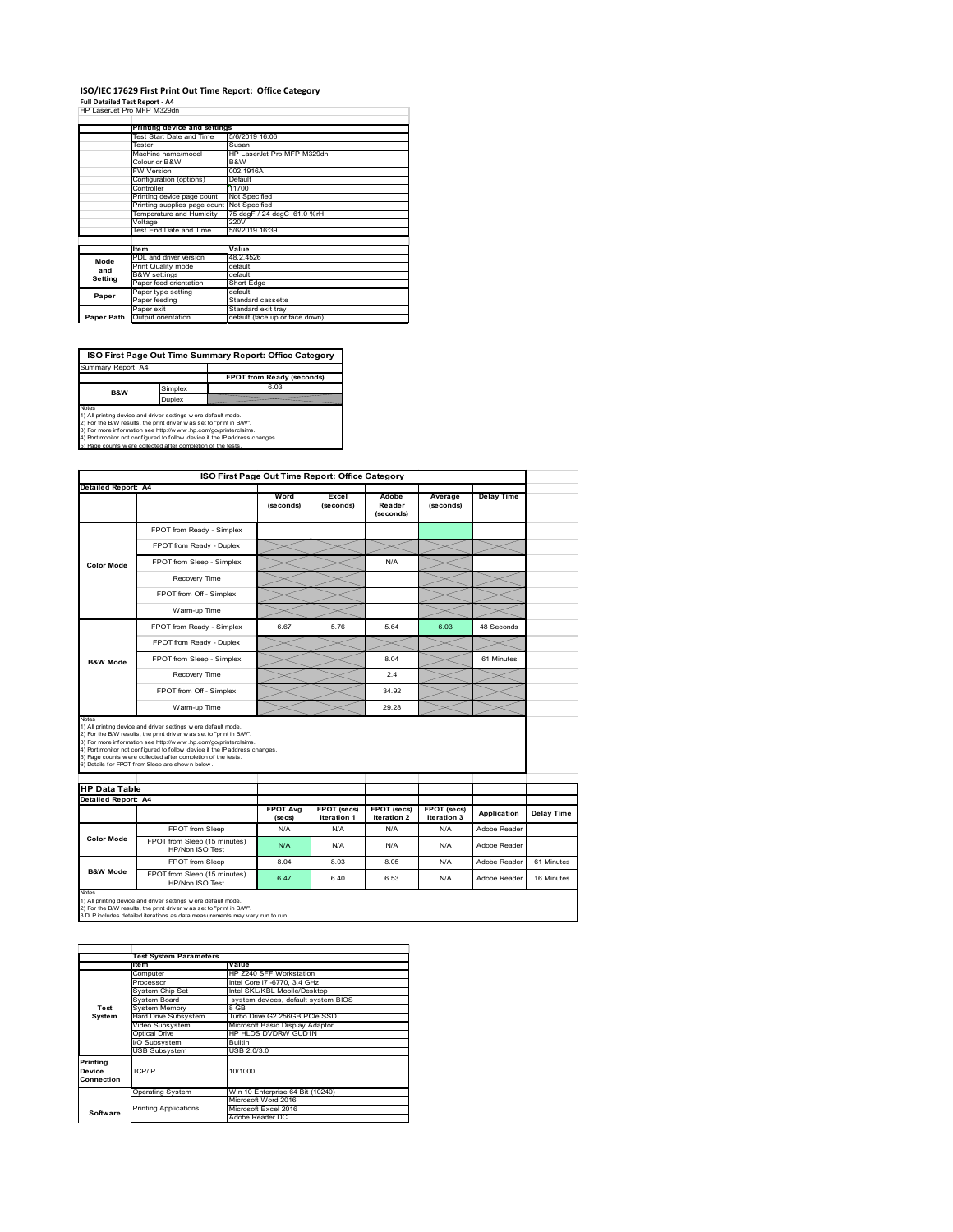#### **ISO/IEC 17629 First Print Out Time Report: Office Category Full Detailed Test Report ‐ A4**

|  | HP LaserJet Pro MFP M329dn |  |
|--|----------------------------|--|

|            | Printing device and settings               |                                |
|------------|--------------------------------------------|--------------------------------|
|            | Test Start Date and Time                   |                                |
|            |                                            | 5/6/2019 16:06                 |
|            | Tester                                     | Susan                          |
|            | Machine name/model                         | HP LaserJet Pro MFP M329dn     |
|            | Colour or B&W                              | B&W                            |
|            | <b>FW Version</b>                          | 002.1916A                      |
|            | Configuration (options)                    | Default                        |
|            | Controller                                 | 11700                          |
|            | Printing device page count                 | Not Specified                  |
|            | Printing supplies page count Not Specified |                                |
|            | Temperature and Humidity                   | 75 degF / 24 degC 61.0 %rH     |
|            | Voltage                                    | 220V                           |
|            | Test End Date and Time                     | 5/6/2019 16:39                 |
|            |                                            |                                |
|            | <b>Item</b>                                | Value                          |
| Mode       | PDL and driver version                     | 48.2.4526                      |
| and        | Print Quality mode                         | default                        |
|            | <b>B&amp;W</b> settings                    | default                        |
| Setting    | Paper feed orientation                     | Short Edge                     |
| Paper      | Paper type setting                         | default                        |
|            | Paper feeding                              | Standard cassette              |
|            | Paper exit                                 | Standard exit tray             |
| Paper Path | Output orientation                         | default (face up or face down) |

**ISO First Page Out Time Summary Report: Office Category**

**FPOT from Ready (seconds)** Simplex 6.03 **Duplex** Notes<br>1) All printing device and driver settings were default mode.<br>2) For the BAV results, the print driver was set to "print in BAV".<br>3) For more information see http://www.hp.com/golprinterclaims.<br>4) Port monitor not co Summary Report: A4 **B&W**

| ISO First Page Out Time Report: Office Category      |                                                                                                                                                                                                                                                                                                                                                                                                             |                   |                    |                              |                      |                   |            |
|------------------------------------------------------|-------------------------------------------------------------------------------------------------------------------------------------------------------------------------------------------------------------------------------------------------------------------------------------------------------------------------------------------------------------------------------------------------------------|-------------------|--------------------|------------------------------|----------------------|-------------------|------------|
| <b>Detailed Report: A4</b>                           |                                                                                                                                                                                                                                                                                                                                                                                                             | Word<br>(seconds) | Excel<br>(seconds) | Adobe<br>Reader<br>(seconds) | Average<br>(seconds) | <b>Delay Time</b> |            |
|                                                      | FPOT from Ready - Simplex                                                                                                                                                                                                                                                                                                                                                                                   |                   |                    |                              |                      |                   |            |
|                                                      | FPOT from Ready - Duplex                                                                                                                                                                                                                                                                                                                                                                                    |                   |                    |                              |                      |                   |            |
| <b>Color Mode</b>                                    | FPOT from Sleep - Simplex                                                                                                                                                                                                                                                                                                                                                                                   |                   |                    | N/A                          |                      |                   |            |
|                                                      | Recovery Time                                                                                                                                                                                                                                                                                                                                                                                               |                   |                    |                              |                      |                   |            |
|                                                      | FPOT from Off - Simplex                                                                                                                                                                                                                                                                                                                                                                                     |                   |                    |                              |                      |                   |            |
|                                                      | Warm-up Time                                                                                                                                                                                                                                                                                                                                                                                                |                   |                    |                              |                      |                   |            |
|                                                      | FPOT from Ready - Simplex                                                                                                                                                                                                                                                                                                                                                                                   | 6.67              | 5.76               | 5.64                         | 6.03                 | 48 Seconds        |            |
|                                                      | FPOT from Ready - Duplex                                                                                                                                                                                                                                                                                                                                                                                    |                   |                    |                              |                      |                   |            |
| <b>B&amp;W Mode</b>                                  | FPOT from Sleep - Simplex                                                                                                                                                                                                                                                                                                                                                                                   |                   |                    | 8.04                         |                      | 61 Minutes        |            |
|                                                      | Recovery Time                                                                                                                                                                                                                                                                                                                                                                                               |                   |                    | 24                           |                      |                   |            |
|                                                      |                                                                                                                                                                                                                                                                                                                                                                                                             |                   |                    |                              |                      |                   |            |
|                                                      | FPOT from Off - Simplex                                                                                                                                                                                                                                                                                                                                                                                     |                   |                    | 34 92                        |                      |                   |            |
|                                                      | Warm-up Time                                                                                                                                                                                                                                                                                                                                                                                                |                   |                    | 29.28                        |                      |                   |            |
| Notes<br><b>HP Data Table</b><br>Detailed Report: A4 | 1) All printing device and driver settings w ere default mode.<br>2) For the B/W results, the print driver was set to "print in B/W".<br>3) For more information see http://www.hp.com/go/printerclaims.<br>4) Port monitor not configured to follow device if the IP address changes.<br>5) Page counts w ere collected after completion of the tests.<br>6) Details for FPOT from Sleep are show n below. | <b>FPOT Avg</b>   | FPOT (secs)        | FPOT (secs)                  | FPOT (secs)          | Application       | Delay Time |
|                                                      | FPOT from Sleep                                                                                                                                                                                                                                                                                                                                                                                             | (se cs)<br>N/A    | Iteration 1<br>N/A | Iteration 2<br>N/A           | Iteration 3<br>N/A   | Adobe Reader      |            |
| <b>Color Mode</b>                                    | FPOT from Sleep (15 minutes)<br>HP/Non ISO Test                                                                                                                                                                                                                                                                                                                                                             | N/A               | N/A                | N/A                          | N/A                  | Adobe Reader      |            |
|                                                      | FPOT from Sleep                                                                                                                                                                                                                                                                                                                                                                                             | 8.04              | 8.03               | 8.05                         | N/A                  | Adobe Reader      | 61 Minutes |

|                                  | <b>Test System Parameters</b> |                                     |
|----------------------------------|-------------------------------|-------------------------------------|
|                                  | <b>Item</b>                   | Value                               |
|                                  | Computer                      | HP Z240 SFF Workstation             |
|                                  | Processor                     | Intel Core i7 -6770, 3.4 GHz        |
|                                  | System Chip Set               | Intel SKL/KBL Mobile/Desktop        |
|                                  | System Board                  | system devices, default system BIOS |
| Test                             | <b>System Memory</b>          | 8 GB                                |
| System                           | <b>Hard Drive Subsystem</b>   | Turbo Drive G2 256GB PCle SSD       |
|                                  | Video Subsystem               | Microsoft Basic Display Adaptor     |
|                                  | Optical Drive                 | HP HLDS DVDRW GUD1N                 |
|                                  | I/O Subsystem                 | Builtin                             |
|                                  | <b>USB Subsystem</b>          | USB 2.0/3.0                         |
| Printing<br>Device<br>Connection | TCP/IP                        | 10/1000                             |
|                                  | <b>Operating System</b>       | Win 10 Enterprise 64 Bit (10240)    |
|                                  |                               | Microsoft Word 2016                 |
| Software                         | <b>Printing Applications</b>  | Microsoft Excel 2016                |
|                                  |                               | Adobe Reader DC                     |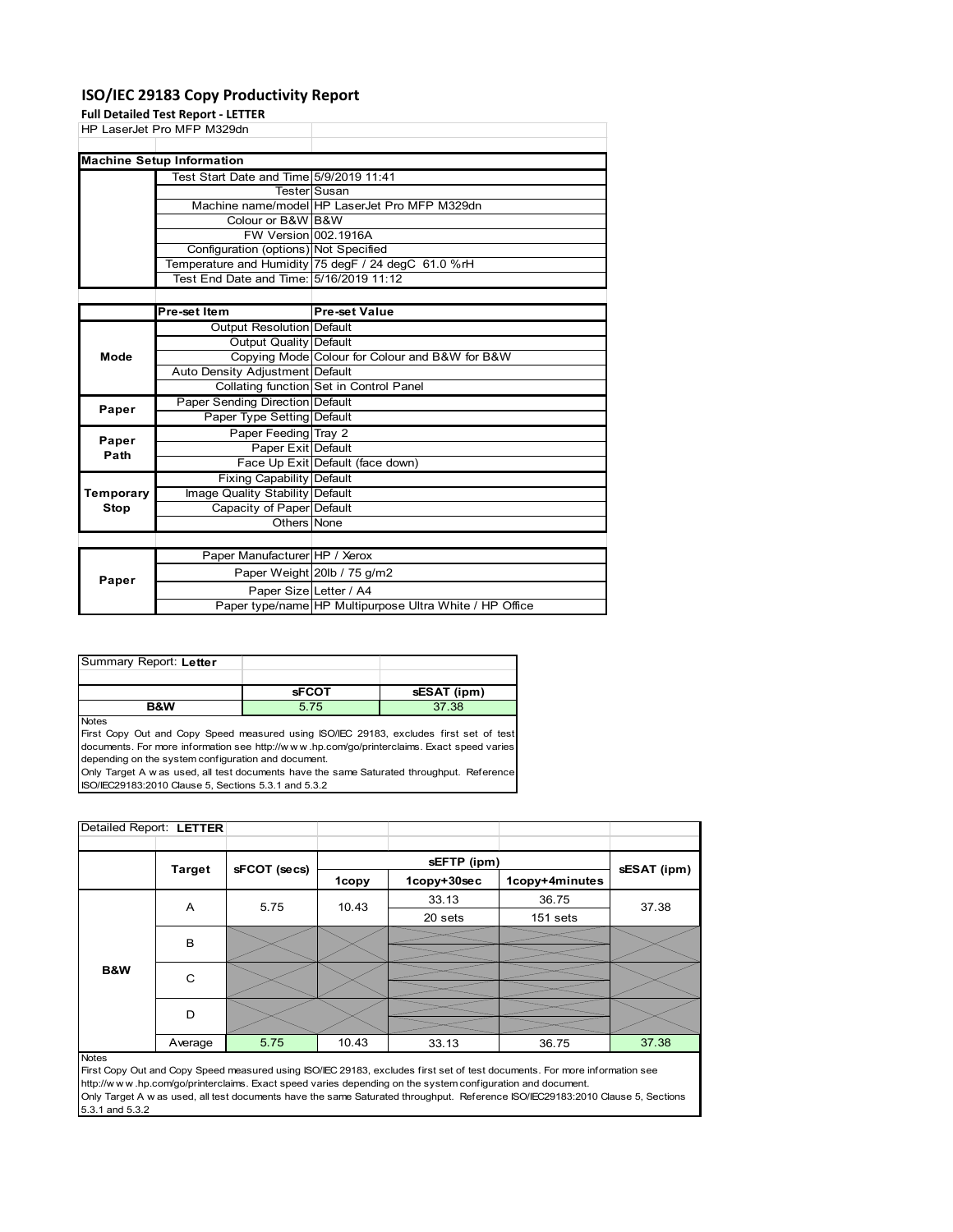## **ISO/IEC 29183 Copy Productivity Report**

**Full Detailed Test Report ‐ LETTER**

|       | HP LaserJet Pro MFP M329dn              |                                                     |
|-------|-----------------------------------------|-----------------------------------------------------|
|       | <b>Machine Setup Information</b>        |                                                     |
|       | Test Start Date and Time 5/9/2019 11:41 |                                                     |
|       |                                         | TesterlSusan                                        |
|       |                                         | Machine name/model HP LaserJet Pro MFP M329dn       |
|       | Colour or B&W B&W                       |                                                     |
|       | FW Version 002.1916A                    |                                                     |
|       | Configuration (options) Not Specified   |                                                     |
|       |                                         | Temperature and Humidity 75 degF / 24 degC 61.0 %rH |
|       | Test End Date and Time: 5/16/2019 11:12 |                                                     |
|       |                                         |                                                     |
|       | <b>Pre-set Item</b>                     | <b>Pre-set Value</b>                                |
|       | Output Resolution Default               |                                                     |
|       | Output Quality Default                  |                                                     |
| Mode  |                                         | Copying Mode Colour for Colour and B&W for B&W      |
|       | Auto Density Adjustment Default         |                                                     |
|       |                                         | Collating function Set in Control Panel             |
|       | Paper Sending Direction Default         |                                                     |
| Paper | <b>Donor Tuno Setting Default</b>       |                                                     |

| Paper     |                                  |                                                         |
|-----------|----------------------------------|---------------------------------------------------------|
|           | Paper Type Setting Default       |                                                         |
| Paper     | Paper Feeding Tray 2             |                                                         |
| Path      | Paper Exit Default               |                                                         |
|           |                                  | Face Up Exit Default (face down)                        |
|           | <b>Fixing Capability Default</b> |                                                         |
| Temporary | Image Quality Stability Default  |                                                         |
| Stop      | Capacity of Paper Default        |                                                         |
|           | Others None                      |                                                         |
|           |                                  |                                                         |
|           | Paper Manufacturer HP / Xerox    |                                                         |
| Paper     |                                  | Paper Weight 20lb / 75 g/m2                             |
|           | Paper Size Letter / A4           |                                                         |
|           |                                  | Paper type/name HP Multipurpose Ultra White / HP Office |

| Summary Report: Letter |              |             |
|------------------------|--------------|-------------|
|                        |              |             |
|                        | <b>SFCOT</b> | sESAT (ipm) |
| <b>B&amp;W</b>         | 5.75         | 37.38       |

Notes

First Copy Out and Copy Speed measured using ISO/IEC 29183, excludes first set of test documents. For more information see http://w w w .hp.com/go/printerclaims. Exact speed varies depending on the system configuration and document.

Only Target A w as used, all test documents have the same Saturated throughput. Reference ISO/IEC29183:2010 Clause 5, Sections 5.3.1 and 5.3.2

| Detailed Report: LETTER |               |              |       |             |                |             |
|-------------------------|---------------|--------------|-------|-------------|----------------|-------------|
|                         |               |              |       | sEFTP (ipm) |                |             |
|                         | <b>Target</b> | sFCOT (secs) | 1copy | 1copy+30sec | 1copy+4minutes | sESAT (ipm) |
|                         | A             | 5.75         | 10.43 | 33.13       | 36.75          | 37.38       |
|                         |               |              |       | 20 sets     | 151 sets       |             |
|                         | B             |              |       |             |                |             |
|                         |               |              |       |             |                |             |
| B&W                     | C             |              |       |             |                |             |
|                         |               |              |       |             |                |             |
|                         | D             |              |       |             |                |             |
|                         |               |              |       |             |                |             |
|                         | Average       | 5.75         | 10.43 | 33.13       | 36.75          | 37.38       |

### Notes

First Copy Out and Copy Speed measured using ISO/IEC 29183, excludes first set of test documents. For more information see http://w w w .hp.com/go/printerclaims. Exact speed varies depending on the system configuration and document. Only Target A w as used, all test documents have the same Saturated throughput. Reference ISO/IEC29183:2010 Clause 5, Sections 5.3.1 and 5.3.2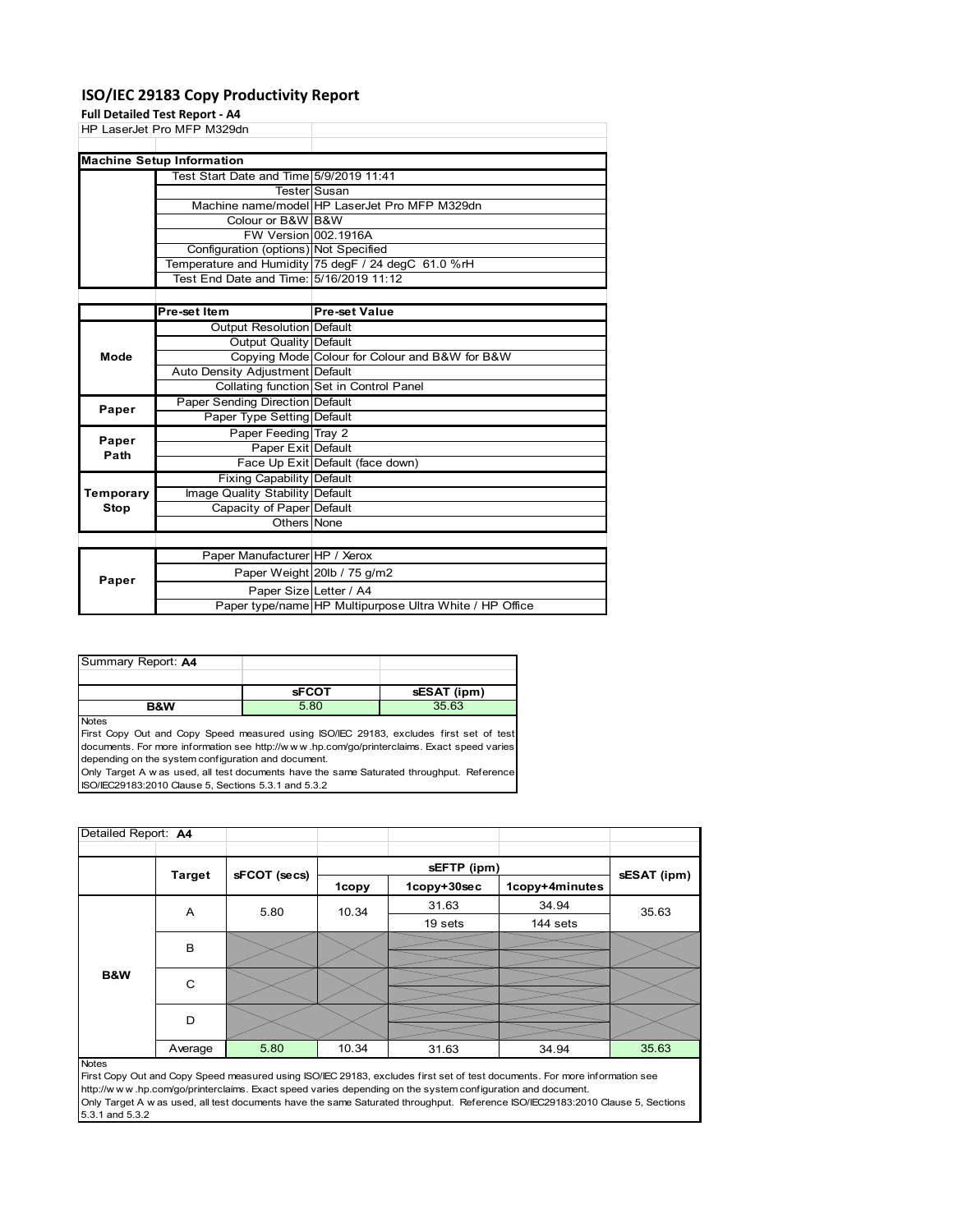### **ISO/IEC 29183 Copy Productivity Report**

### **Full Detailed Test Report ‐ A4**

HP LaserJet Pro MFP M329dn Test Start Date and Time 5/9/2019 11:41 Tester Susan<br>Machine name/model HP Las HP LaserJet Pro MFP M329dn Colour or B&W B&W FW Version 002.1916A Configuration (options) Not Specified Temperature and Humidity 75 degF / 24 degC 61.0 %rH Test End Date and Time: 5/16/2019 11:12 **Machine Setup Information**

|           | Pre-set Item                     | <b>Pre-set Value</b>                                    |
|-----------|----------------------------------|---------------------------------------------------------|
|           | <b>Output Resolution Default</b> |                                                         |
|           | Output Quality Default           |                                                         |
| Mode      |                                  | Copying Mode Colour for Colour and B&W for B&W          |
|           | Auto Density Adjustment Default  |                                                         |
|           |                                  | Collating function Set in Control Panel                 |
| Paper     | Paper Sending Direction Default  |                                                         |
|           | Paper Type Setting Default       |                                                         |
| Paper     | Paper Feeding Tray 2             |                                                         |
| Path      | Paper Exit Default               |                                                         |
|           |                                  | Face Up Exit Default (face down)                        |
|           | <b>Fixing Capability Default</b> |                                                         |
| Temporary | Image Quality Stability Default  |                                                         |
| Stop      | Capacity of Paper Default        |                                                         |
|           | Others None                      |                                                         |
|           |                                  |                                                         |
|           | Paper Manufacturer HP / Xerox    |                                                         |
| Paper     |                                  | Paper Weight 20lb / 75 g/m2                             |
|           | Paper Size Letter / A4           |                                                         |
|           |                                  | Paper type/name HP Multipurpose Ultra White / HP Office |

| Summary Report: A4 |              |             |
|--------------------|--------------|-------------|
|                    |              |             |
|                    | <b>sFCOT</b> | sESAT (ipm) |
| <b>B&amp;W</b>     | 5.80         | 35.63       |

Notes

First Copy Out and Copy Speed measured using ISO/IEC 29183, excludes first set of test documents. For more information see http://w w w .hp.com/go/printerclaims. Exact speed varies depending on the system configuration and document.

Only Target A w as used, all test documents have the same Saturated throughput. Reference ISO/IEC29183:2010 Clause 5, Sections 5.3.1 and 5.3.2

| Detailed Report: A4 |               |              |       |             |                |             |
|---------------------|---------------|--------------|-------|-------------|----------------|-------------|
|                     |               |              |       | sEFTP (ipm) |                |             |
|                     | <b>Target</b> | sFCOT (secs) | 1copy | 1copy+30sec | 1copy+4minutes | sESAT (ipm) |
|                     | A             | 5.80         | 10.34 | 31.63       | 34.94          | 35.63       |
|                     |               |              |       | 19 sets     | 144 sets       |             |
|                     | B             |              |       |             |                |             |
| B&W                 | $\mathsf{C}$  |              |       |             |                |             |
|                     | D             |              |       |             |                |             |
|                     | Average       | 5.80         | 10.34 | 31.63       | 34.94          | 35.63       |
| <b>Notes</b>        |               |              |       |             |                |             |

First Copy Out and Copy Speed measured using ISO/IEC 29183, excludes first set of test documents. For more information see http://w w w .hp.com/go/printerclaims. Exact speed varies depending on the system configuration and document. Only Target A w as used, all test documents have the same Saturated throughput. Reference ISO/IEC29183:2010 Clause 5, Sections 5.3.1 and 5.3.2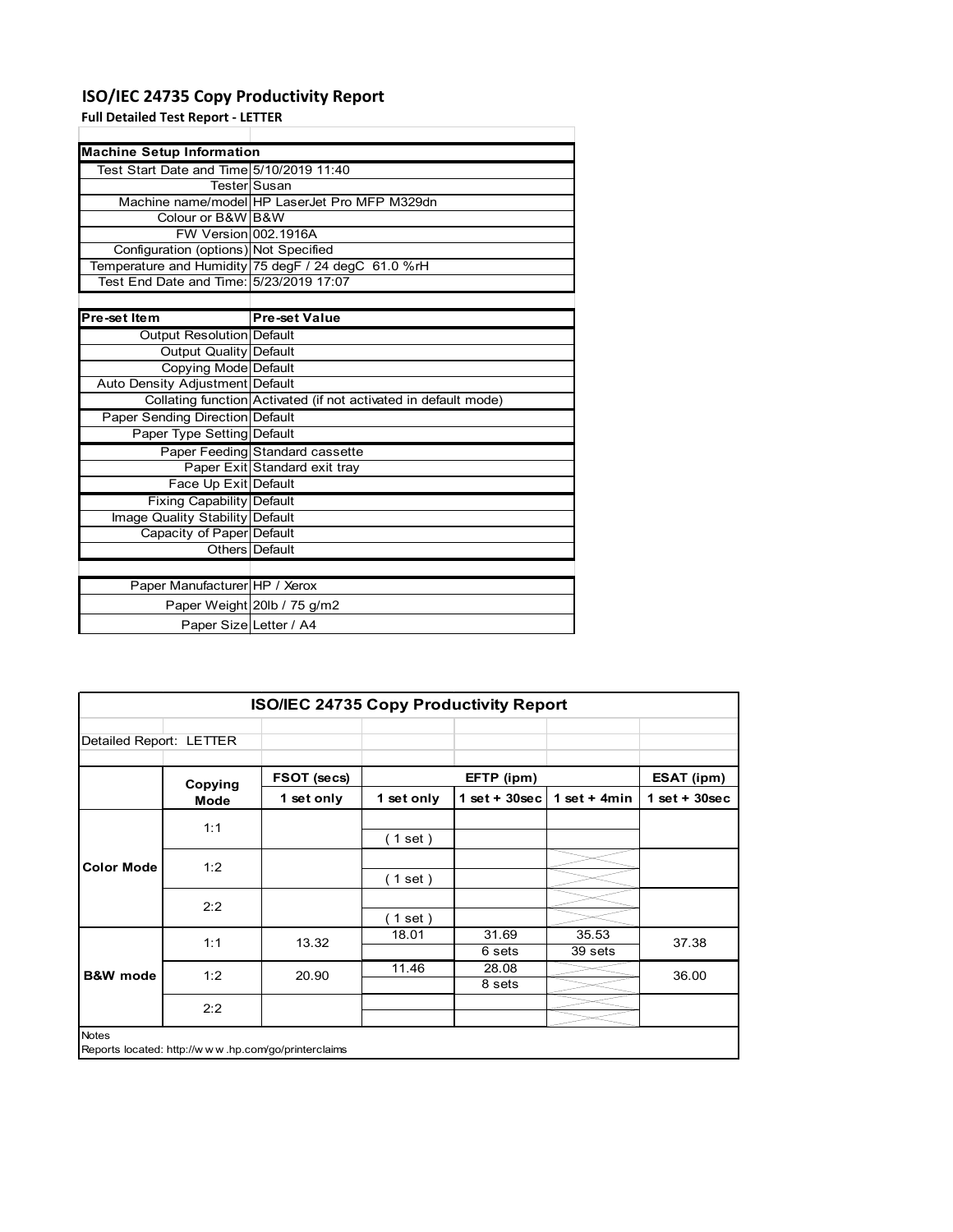# **ISO/IEC 24735 Copy Productivity Report**

**Full Detailed Test Report ‐ LETTER**

| <b>Machine Setup Information</b>         |                                                                 |
|------------------------------------------|-----------------------------------------------------------------|
| Test Start Date and Time 5/10/2019 11:40 |                                                                 |
|                                          | TesterlSusan                                                    |
|                                          | Machine name/model HP LaserJet Pro MFP M329dn                   |
| Colour or B&W B&W                        |                                                                 |
| FW Version 002.1916A                     |                                                                 |
| Configuration (options) Not Specified    |                                                                 |
|                                          | Temperature and Humidity 75 degF / 24 degC 61.0 %rH             |
| Test End Date and Time: 5/23/2019 17:07  |                                                                 |
|                                          |                                                                 |
| Pre-set Item                             | <b>Pre-set Value</b>                                            |
| Output Resolution Default                |                                                                 |
| <b>Output Quality Default</b>            |                                                                 |
| Copying Mode Default                     |                                                                 |
| Auto Density Adjustment Default          |                                                                 |
|                                          | Collating function Activated (if not activated in default mode) |
| Paper Sending Direction Default          |                                                                 |
| Paper Type Setting Default               |                                                                 |
|                                          | Paper Feeding Standard cassette                                 |
|                                          | Paper Exit Standard exit tray                                   |
| Face Up Exit Default                     |                                                                 |
| <b>Fixing Capability Default</b>         |                                                                 |
| Image Quality Stability Default          |                                                                 |
| Capacity of Paper Default                |                                                                 |
|                                          | Others Default                                                  |
|                                          |                                                                 |
| Paper Manufacturer HP / Xerox            |                                                                 |
|                                          | Paper Weight 20lb / 75 g/m2                                     |
| Paper Size Letter / A4                   |                                                                 |

|                         | <b>ISO/IEC 24735 Copy Productivity Report</b>       |             |            |                  |                  |                 |  |
|-------------------------|-----------------------------------------------------|-------------|------------|------------------|------------------|-----------------|--|
| Detailed Report: LETTER |                                                     |             |            |                  |                  |                 |  |
|                         | Copying                                             | FSOT (secs) | EFTP (ipm) |                  |                  | ESAT (ipm)      |  |
|                         | Mode                                                | 1 set only  | 1 set only | 1 set + $30$ sec | 1 set $+$ 4 min  | $1$ set + 30sec |  |
|                         | 1:1                                                 |             | (1 set )   |                  |                  |                 |  |
| <b>Color Mode</b>       | 1:2                                                 |             | (1 set )   |                  |                  |                 |  |
|                         | 2:2                                                 |             | (1 set )   |                  |                  |                 |  |
|                         | 1:1                                                 | 13.32       | 18.01      | 31.69<br>6 sets  | 35.53<br>39 sets | 37.38           |  |
| <b>B&amp;W</b> mode     | 1:2                                                 | 20.90       | 11.46      | 28.08<br>8 sets  |                  | 36.00           |  |
|                         | 2:2                                                 |             |            |                  |                  |                 |  |
| <b>Notes</b>            | Reports located: http://www.hp.com/go/printerclaims |             |            |                  |                  |                 |  |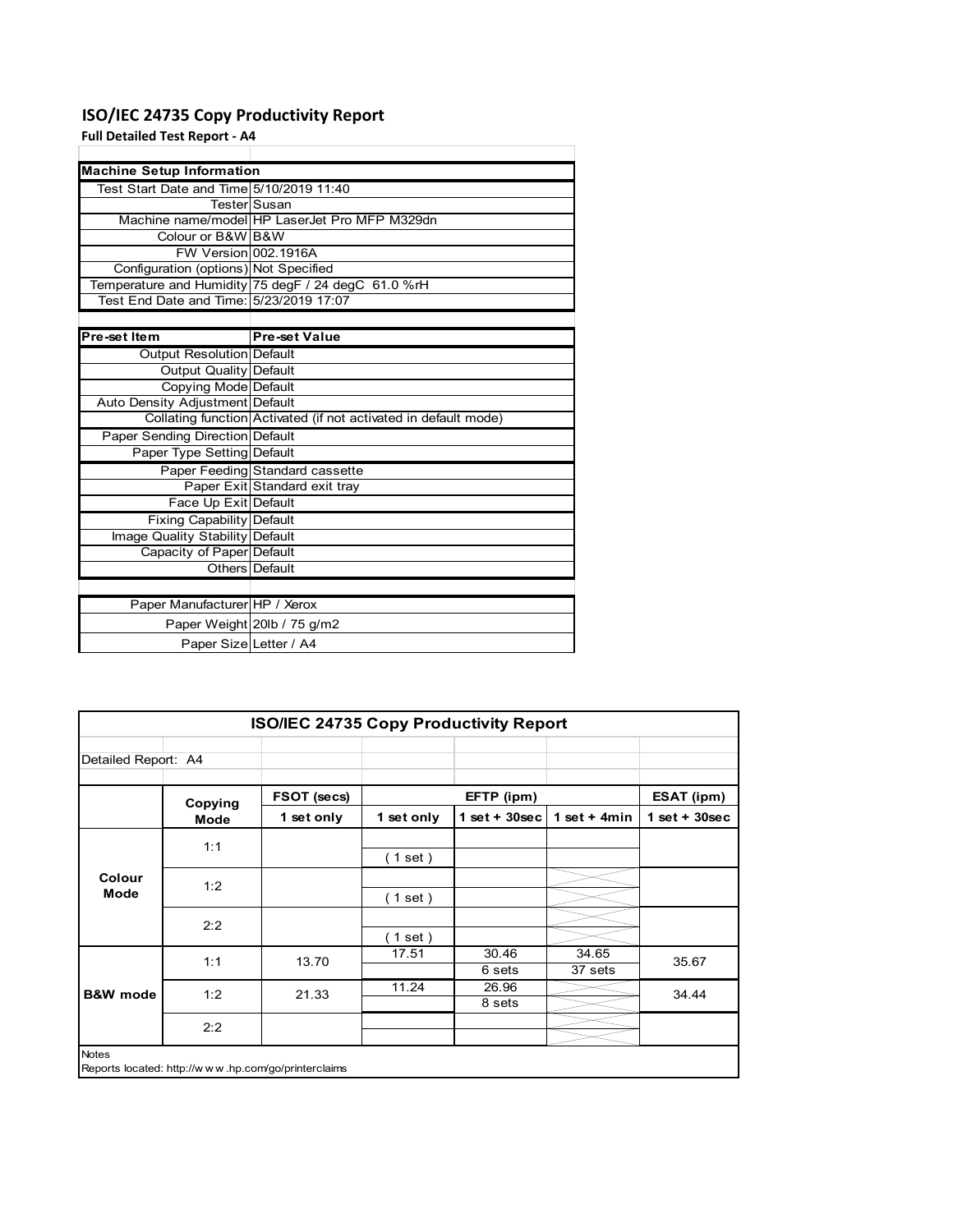# **ISO/IEC 24735 Copy Productivity Report**

## **Full Detailed Test Report ‐ A4**

| <b>Machine Setup Information</b>         |                                                                 |
|------------------------------------------|-----------------------------------------------------------------|
| Test Start Date and Time 5/10/2019 11:40 |                                                                 |
|                                          | <b>Tester</b> Susan                                             |
|                                          | Machine name/model HP LaserJet Pro MFP M329dn                   |
| Colour or B&W B&W                        |                                                                 |
| FW Version 002.1916A                     |                                                                 |
| Configuration (options) Not Specified    |                                                                 |
|                                          | Temperature and Humidity 75 degF / 24 degC 61.0 %rH             |
| Test End Date and Time: 5/23/2019 17:07  |                                                                 |
|                                          |                                                                 |
| Pre-set Item                             | <b>Pre-set Value</b>                                            |
| Output Resolution Default                |                                                                 |
| Output Quality Default                   |                                                                 |
| Copying Mode Default                     |                                                                 |
| Auto Density Adjustment Default          |                                                                 |
|                                          | Collating function Activated (if not activated in default mode) |
| Paper Sending Direction Default          |                                                                 |
| Paper Type Setting Default               |                                                                 |
|                                          | Paper Feeding Standard cassette                                 |
|                                          | Paper Exit Standard exit tray                                   |
| Face Up Exit Default                     |                                                                 |
| <b>Fixing Capability Default</b>         |                                                                 |
| Image Quality Stability Default          |                                                                 |
| Capacity of Paper Default                |                                                                 |
|                                          | Others Default                                                  |
|                                          |                                                                 |
| Paper Manufacturer HP / Xerox            |                                                                 |
|                                          | Paper Weight 20lb / 75 g/m2                                     |
| Paper Size Letter / A4                   |                                                                 |

|                     | <b>ISO/IEC 24735 Copy Productivity Report</b> |                                                     |            |                 |                  |                 |  |
|---------------------|-----------------------------------------------|-----------------------------------------------------|------------|-----------------|------------------|-----------------|--|
| Detailed Report: A4 |                                               |                                                     |            |                 |                  |                 |  |
|                     | Copying                                       | FSOT (secs)                                         |            | EFTP (ipm)      |                  | ESAT (ipm)      |  |
|                     | Mode                                          | 1 set only                                          | 1 set only | $1$ set + 30sec | 1 set $+$ 4min   | $1$ set + 30sec |  |
|                     | 1:1                                           |                                                     | (1 set )   |                 |                  |                 |  |
| Colour<br>Mode      | 1:2                                           |                                                     | (1 set)    |                 |                  |                 |  |
|                     | 2:2                                           |                                                     | (1 set)    |                 |                  |                 |  |
|                     | 1:1                                           | 13.70                                               | 17.51      | 30.46<br>6 sets | 34.65<br>37 sets | 35.67           |  |
| <b>B&amp;W</b> mode | 1:2                                           | 21.33                                               | 11.24      | 26.96<br>8 sets |                  | 34.44           |  |
|                     | 2:2                                           |                                                     |            |                 |                  |                 |  |
| <b>Notes</b>        |                                               | Reports located: http://www.hp.com/go/printerclaims |            |                 |                  |                 |  |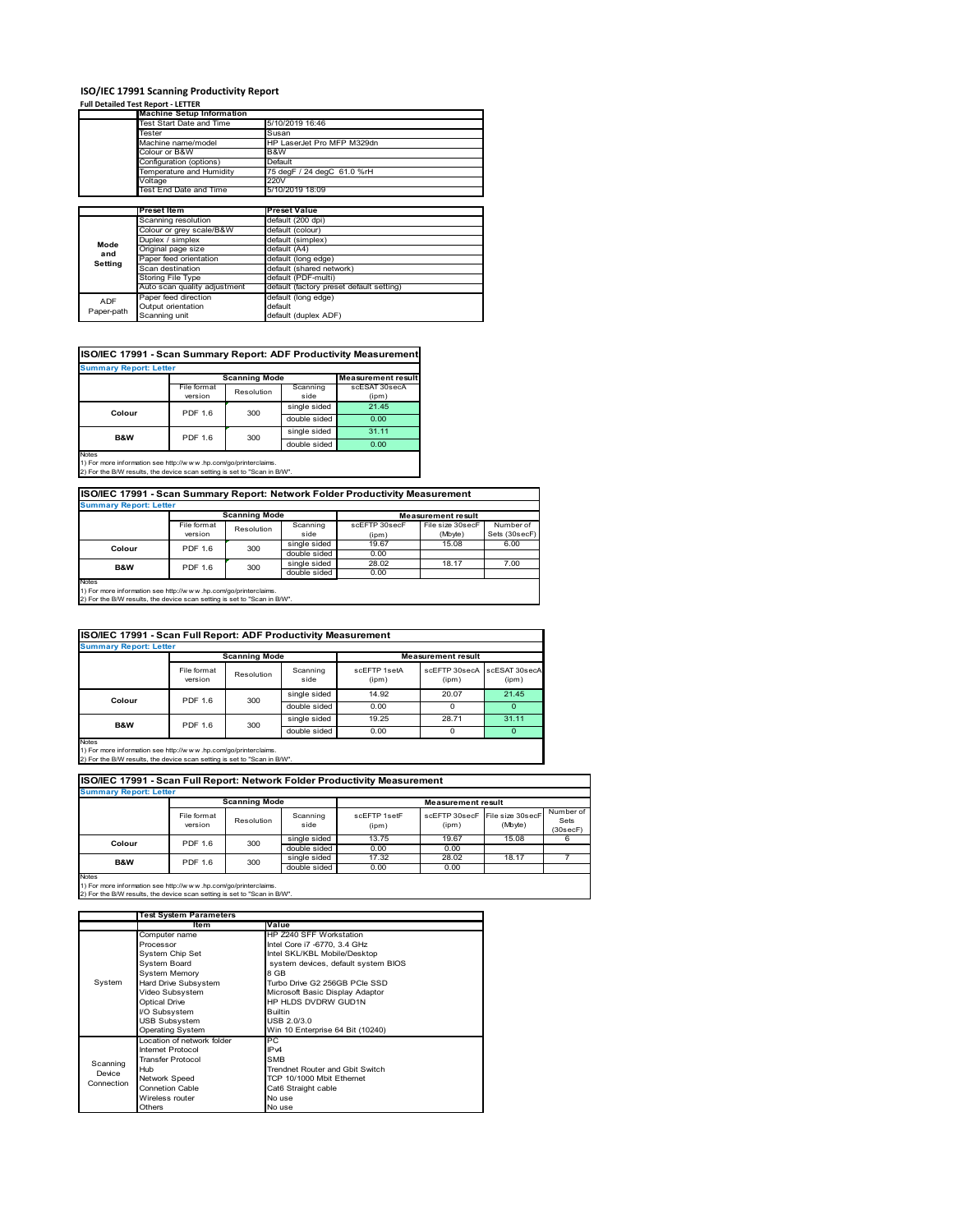### **ISO/IEC 17991 Scanning Productivity Report**

### **Full Detailed Test Report ‐ LETTER**

|            | <b>Machine Setup Information</b> |                                          |  |  |
|------------|----------------------------------|------------------------------------------|--|--|
|            | Test Start Date and Time         | 5/10/2019 16:46                          |  |  |
|            | Tester                           | Susan                                    |  |  |
|            | Machine name/model               | HP LaserJet Pro MFP M329dn               |  |  |
|            | Colour or B&W                    | B&W                                      |  |  |
|            | Configuration (options)          | Default                                  |  |  |
|            | Temperature and Humidity         | 75 degF / 24 degC 61.0 %rH               |  |  |
|            | Voltage                          | 220V                                     |  |  |
|            | <b>Test End Date and Time</b>    | 5/10/2019 18:09                          |  |  |
|            |                                  |                                          |  |  |
|            | <b>Preset Item</b>               | <b>Preset Value</b>                      |  |  |
|            | Scanning resolution              | default (200 dpi)                        |  |  |
|            | Colour or grey scale/B&W         | default (colour)                         |  |  |
| Mode       | Duplex / simplex                 | default (simplex)                        |  |  |
| and        | Original page size               | default (A4)                             |  |  |
| Setting    | Paper feed orientation           | default (long edge)                      |  |  |
|            | Scan destination                 | default (shared network)                 |  |  |
|            | Storing File Type                | default (PDF-multi)                      |  |  |
|            | Auto scan quality adjustment     | default (factory preset default setting) |  |  |
| <b>ADF</b> | Paper feed direction             | default (long edge)                      |  |  |
|            | Output orientation               | default                                  |  |  |
| Paper-path | Scanning unit                    | default (duplex ADF)                     |  |  |

### **ISO/IEC 17991 - Scan Summary Report: ADF Productivity Measurement**

|                | <b>Scanning Mode</b> |            |              | <b>Measurement result</b> |
|----------------|----------------------|------------|--------------|---------------------------|
|                | File format          | Resolution | Scanning     | scESAT 30secA             |
|                | version              |            | side         | (ipm)                     |
| Colour         | <b>PDF 1.6</b>       | 300        | single sided | 21.45                     |
|                |                      |            | double sided | 0.00                      |
| <b>B&amp;W</b> | <b>PDF 1.6</b>       | 300        | single sided | 31.11                     |
|                |                      |            | double sided | 0.00                      |

1) For more information see http://w w w .hp.com/go/printerclaims. 2) For the B/W results, the device scan setting is set to "Scan in B/W".

### **ISO/IEC 17991 - Scan Summary Report: Network Folder Productivity Measurement**

| <b>Summary Report: Letter</b> |                      |            |              |                           |                  |               |
|-------------------------------|----------------------|------------|--------------|---------------------------|------------------|---------------|
|                               | <b>Scanning Mode</b> |            |              | <b>Measurement result</b> |                  |               |
|                               | File format          | Resolution | Scanning     | scEFTP 30secF             | File size 30secF | Number of     |
|                               | version              |            | side         | (ipm)                     | (Mbyte)          | Sets (30secF) |
| Colour                        | PDF 1.6              | 300        | single sided | 19.67                     | 15.08            | 6.00          |
|                               |                      |            | double sided | 0.00                      |                  |               |
| B&W                           | 300<br>PDF 1.6       |            | single sided | 28.02                     | 18.17            | 7.00          |
|                               |                      |            | double sided | 0.00                      |                  |               |
| Notes                         |                      |            |              |                           |                  |               |

Notes 1) For more information see http://w w w .hp.com/go/printerclaims. 2) For the B/W results, the device scan setting is set to "Scan in B/W".

#### File format version Resolution Scanning side scEFTP 1setA (ipm) scEFTP 30secA (ipm) scESAT 30secA (ipm) single sided 14.92 20.07 21.45 double sided 0.00 0 0 0 0 0 0 single sided 19.25 28.71 31.11 single sided 19.25<br>double sided 0.00 double sided 0.00 0 0 0 **ISO/IEC 17991 - Scan Full Report: ADF Productivity Measurement Immary Report: Letter Measurement** re **Scanning Mode Colour** PDF 1.6 300 **B&W** PDF 1.6 300

Notes 1) For more information see http://w w w .hp.com/go/printerclaims. 2) For the B/W results, the device scan setting is set to "Scan in B/W".

|        | <b>Summary Report: Letter</b> |                      |                  |                       |                           |                             |                               |
|--------|-------------------------------|----------------------|------------------|-----------------------|---------------------------|-----------------------------|-------------------------------|
|        |                               | <b>Scanning Mode</b> |                  |                       | <b>Measurement result</b> |                             |                               |
|        | File format<br>version        | Resolution           | Scanning<br>side | scFFTP 1setF<br>(ipm) | scFFTP 30secF<br>(ipm)    | File size 30secF<br>(Mbyte) | Number of<br>Sets<br>(30secF) |
| Colour | PDF 1.6                       | 300                  | single sided     | 13.75                 | 19.67                     | 15.08                       | 6                             |
|        |                               |                      | double sided     | 0.00                  | 0.00                      |                             |                               |
| B&W    | PDF 1.6                       | 300                  | single sided     | 17.32                 | 28.02                     | 18.17                       |                               |
|        |                               | double sided         | 0.00             | 0.00                  |                           |                             |                               |

1) For more information see http://w w w .hp.com/go/printerclaims. 2) For the B/W results, the device scan setting is set to "Scan in B/W".

|            | <b>Test System Parameters</b> |                                     |
|------------|-------------------------------|-------------------------------------|
|            | ltem                          | Value                               |
|            | Computer name                 | HP Z240 SFF Workstation             |
|            | Processor                     | Intel Core i7 -6770, 3.4 GHz        |
| System     | System Chip Set               | Intel SKL/KBL Mobile/Desktop        |
|            | System Board                  | system devices, default system BIOS |
|            | <b>System Memory</b>          | 8 GB                                |
|            | Hard Drive Subsystem          | Turbo Drive G2 256GB PCIe SSD       |
|            | Video Subsystem               | Microsoft Basic Display Adaptor     |
|            | <b>Optical Drive</b>          | HP HLDS DVDRW GUD1N                 |
|            | I/O Subsystem                 | <b>Builtin</b>                      |
|            | <b>USB Subsystem</b>          | USB 2.0/3.0                         |
|            | <b>Operating System</b>       | Win 10 Enterprise 64 Bit (10240)    |
|            | Location of network folder    | РC                                  |
|            | Internet Protocol             | IP <sub>v4</sub>                    |
| Scanning   | <b>Transfer Protocol</b>      | <b>SMB</b>                          |
| Device     | Hub                           | Trendnet Router and Gbit Switch     |
| Connection | Network Speed                 | TCP 10/1000 Mbit Ethernet           |
|            | Connetion Cable               | Cat6 Straight cable                 |
|            | Wireless router               | No use                              |
|            | Others                        | No use                              |